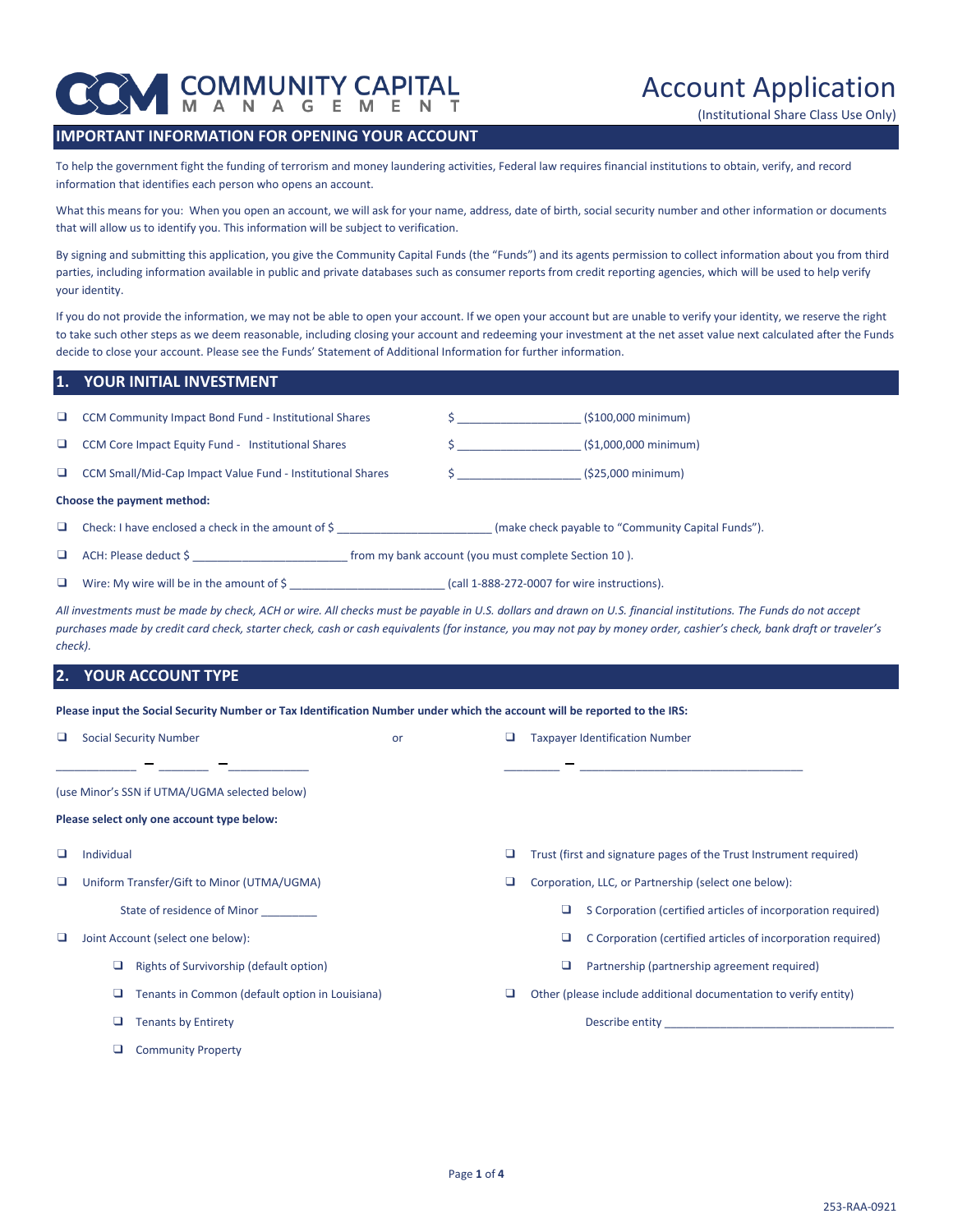

(Institutional Share Class Use Only)

# **IMPORTANT INFORMATION FOR OPENING YOUR ACCOUNT**

To help the government fight the funding of terrorism and money laundering activities, Federal law requires financial institutions to obtain, verify, and record information that identifies each person who opens an account.

What this means for you: When you open an account, we will ask for your name, address, date of birth, social security number and other information or documents that will allow us to identify you. This information will be subject to verification.

By signing and submitting this application, you give the Community Capital Funds (the "Funds") and its agents permission to collect information about you from third parties, including information available in public and private databases such as consumer reports from credit reporting agencies, which will be used to help verify your identity.

If you do not provide the information, we may not be able to open your account. If we open your account but are unable to verify your identity, we reserve the right to take such other steps as we deem reasonable, including closing your account and redeeming your investment at the net asset value next calculated after the Funds decide to close your account. Please see the Funds' Statement of Additional Information for further information.

## **1. YOUR INITIAL INVESTMENT**

| u. | CCM Community Impact Bond Fund - Institutional Shares      |                                                      | $(5100,000 \text{ minimum})$                       |
|----|------------------------------------------------------------|------------------------------------------------------|----------------------------------------------------|
| ப  | CCM Core Impact Equity Fund - Institutional Shares         |                                                      | $(51,000,000 \text{ minimum})$                     |
| u. | CCM Small/Mid-Cap Impact Value Fund - Institutional Shares |                                                      | $(525,000 \text{ minimum})$                        |
|    | Choose the payment method:                                 |                                                      |                                                    |
| u. | Check: I have enclosed a check in the amount of \$         |                                                      | (make check payable to "Community Capital Funds"). |
|    | ACH: Please deduct \$                                      | from my bank account (you must complete Section 10). |                                                    |

❑ Wire: My wire will be in the amount of \$ \_\_\_\_\_\_\_\_\_\_\_\_\_\_\_\_\_\_\_\_\_\_\_\_\_ (call 1-888-272-0007 for wire instructions).

*All investments must be made by check, ACH or wire. All checks must be payable in U.S. dollars and drawn on U.S. financial institutions. The Funds do not accept purchases made by credit card check, starter check, cash or cash equivalents (for instance, you may not pay by money order, cashier's check, bank draft or traveler's check).*

## **2. YOUR ACCOUNT TYPE**

**Please input the Social Security Number or Tax Identification Number under which the account will be reported to the IRS:**

|   | <b>Social Security Number</b>                   | or |   |   | <b>Taxpayer Identification Number</b>                                                                                                                                                                                          |
|---|-------------------------------------------------|----|---|---|--------------------------------------------------------------------------------------------------------------------------------------------------------------------------------------------------------------------------------|
|   |                                                 |    |   |   |                                                                                                                                                                                                                                |
|   | (use Minor's SSN if UTMA/UGMA selected below)   |    |   |   |                                                                                                                                                                                                                                |
|   | Please select only one account type below:      |    |   |   |                                                                                                                                                                                                                                |
| ப | Individual                                      |    | ⊔ |   | Trust (first and signature pages of the Trust Instrument required)                                                                                                                                                             |
|   | Uniform Transfer/Gift to Minor (UTMA/UGMA)      |    |   |   | Corporation, LLC, or Partnership (select one below):                                                                                                                                                                           |
|   | State of residence of Minor                     |    |   | ⊔ | S Corporation (certified articles of incorporation required)                                                                                                                                                                   |
| u | Joint Account (select one below):               |    |   |   | C Corporation (certified articles of incorporation required)                                                                                                                                                                   |
|   | Rights of Survivorship (default option)         |    |   | ⊔ | Partnership (partnership agreement required)                                                                                                                                                                                   |
|   | Tenants in Common (default option in Louisiana) |    | ⊔ |   | Other (please include additional documentation to verify entity)                                                                                                                                                               |
|   | <b>Tenants by Entirety</b>                      |    |   |   | Describe entity and the state of the state of the state of the state of the state of the state of the state of the state of the state of the state of the state of the state of the state of the state of the state of the sta |
|   | <b>Community Property</b>                       |    |   |   |                                                                                                                                                                                                                                |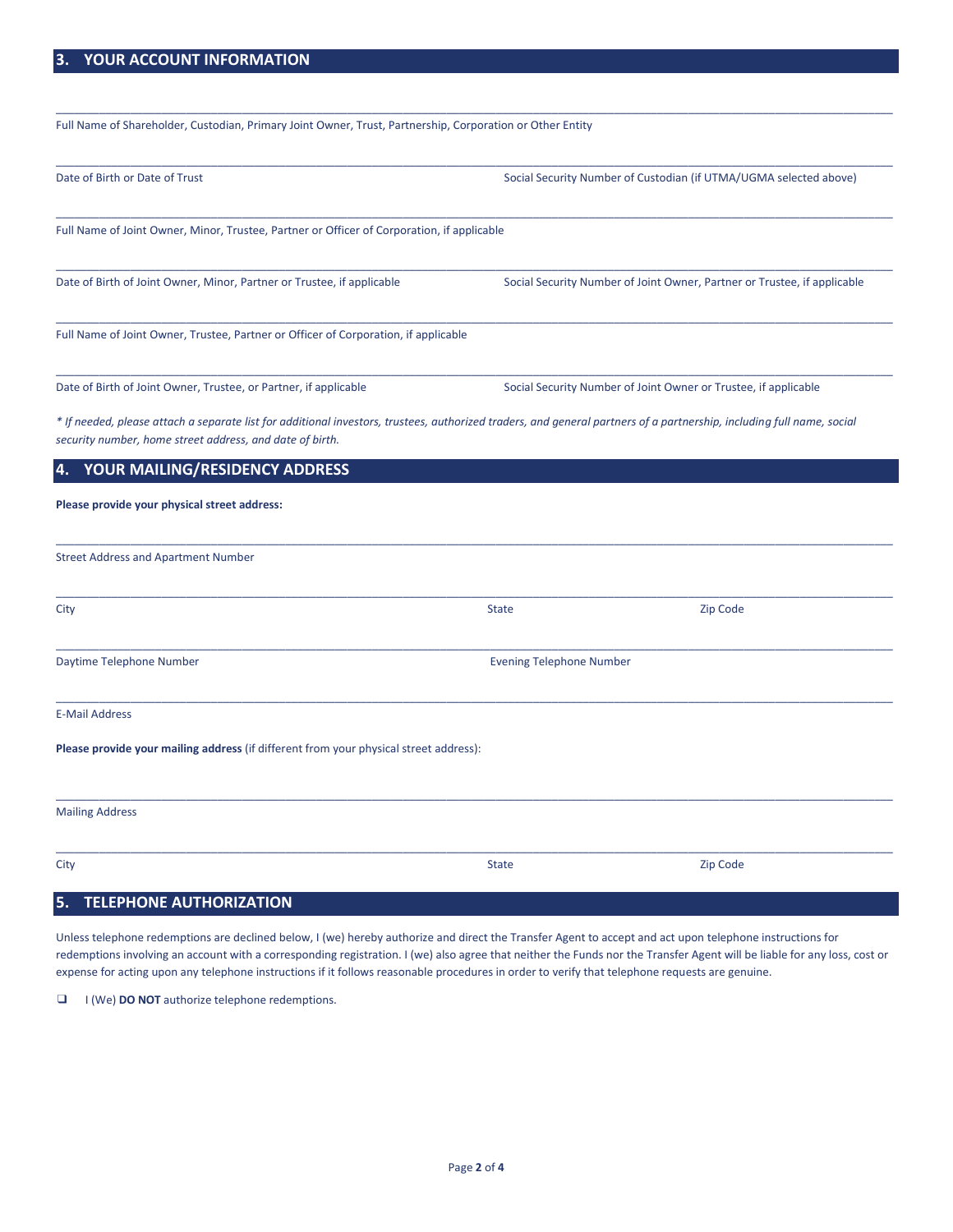| Full Name of Shareholder, Custodian, Primary Joint Owner, Trust, Partnership, Corporation or Other Entity                                                                                                                         |                                 |                                                                          |
|-----------------------------------------------------------------------------------------------------------------------------------------------------------------------------------------------------------------------------------|---------------------------------|--------------------------------------------------------------------------|
| Date of Birth or Date of Trust                                                                                                                                                                                                    |                                 | Social Security Number of Custodian (if UTMA/UGMA selected above)        |
| Full Name of Joint Owner, Minor, Trustee, Partner or Officer of Corporation, if applicable                                                                                                                                        |                                 |                                                                          |
| Date of Birth of Joint Owner, Minor, Partner or Trustee, if applicable                                                                                                                                                            |                                 | Social Security Number of Joint Owner, Partner or Trustee, if applicable |
| Full Name of Joint Owner, Trustee, Partner or Officer of Corporation, if applicable                                                                                                                                               |                                 |                                                                          |
| Date of Birth of Joint Owner, Trustee, or Partner, if applicable                                                                                                                                                                  |                                 | Social Security Number of Joint Owner or Trustee, if applicable          |
| * If needed, please attach a separate list for additional investors, trustees, authorized traders, and general partners of a partnership, including full name, social<br>security number, home street address, and date of birth. |                                 |                                                                          |
| YOUR MAILING/RESIDENCY ADDRESS<br>4.                                                                                                                                                                                              |                                 |                                                                          |
| Please provide your physical street address:                                                                                                                                                                                      |                                 |                                                                          |
| <b>Street Address and Apartment Number</b>                                                                                                                                                                                        |                                 |                                                                          |
| City                                                                                                                                                                                                                              | <b>State</b>                    | Zip Code                                                                 |
| Daytime Telephone Number                                                                                                                                                                                                          | <b>Evening Telephone Number</b> |                                                                          |
| <b>E-Mail Address</b>                                                                                                                                                                                                             |                                 |                                                                          |
| Please provide your mailing address (if different from your physical street address):                                                                                                                                             |                                 |                                                                          |
| <b>Mailing Address</b>                                                                                                                                                                                                            |                                 |                                                                          |
| City                                                                                                                                                                                                                              | <b>State</b>                    | Zip Code                                                                 |
| <b>TELEPHONE AUTHORIZATION</b><br>5.                                                                                                                                                                                              |                                 |                                                                          |

Unless telephone redemptions are declined below, I (we) hereby authorize and direct the Transfer Agent to accept and act upon telephone instructions for redemptions involving an account with a corresponding registration. I (we) also agree that neither the Funds nor the Transfer Agent will be liable for any loss, cost or expense for acting upon any telephone instructions if it follows reasonable procedures in order to verify that telephone requests are genuine.

❑ I (We) **DO NOT** authorize telephone redemptions.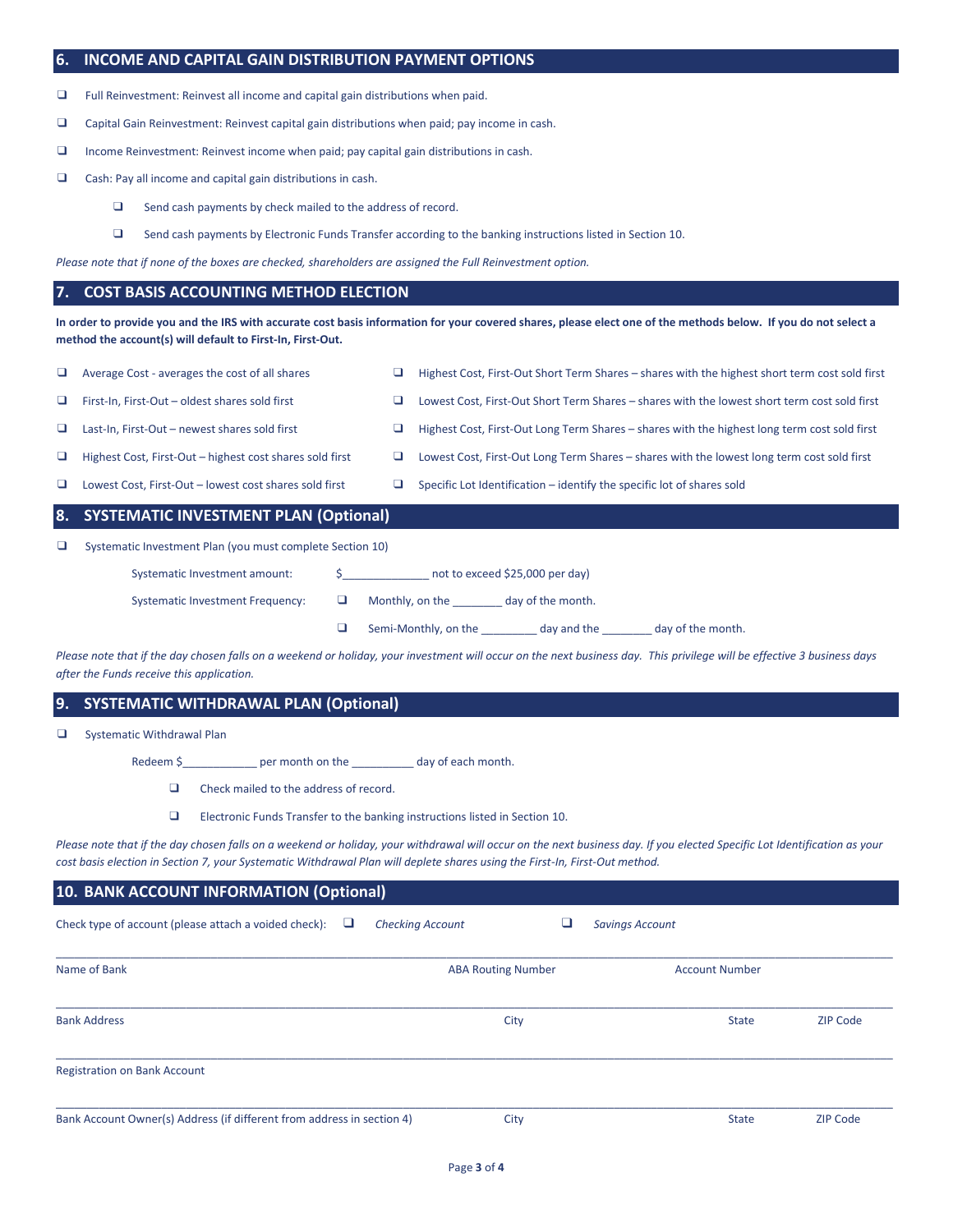## **6. INCOME AND CAPITAL GAIN DISTRIBUTION PAYMENT OPTIONS**

❑ Full Reinvestment: Reinvest all income and capital gain distributions when paid.

- ❑ Capital Gain Reinvestment: Reinvest capital gain distributions when paid; pay income in cash.
- ❑ Income Reinvestment: Reinvest income when paid; pay capital gain distributions in cash.
- ❑ Cash: Pay all income and capital gain distributions in cash.
	- ❑ Send cash payments by check mailed to the address of record.
	- ❑ Send cash payments by Electronic Funds Transfer according to the banking instructions listed in Section 10.

*Please note that if none of the boxes are checked, shareholders are assigned the Full Reinvestment option.*

## **7. COST BASIS ACCOUNTING METHOD ELECTION**

**In order to provide you and the IRS with accurate cost basis information for your covered shares, please elect one of the methods below. If you do not select a method the account(s) will default to First-In, First-Out.**

| □  | Average Cost - averages the cost of all shares            | Highest Cost, First-Out Short Term Shares – shares with the highest short term cost sold first |
|----|-----------------------------------------------------------|------------------------------------------------------------------------------------------------|
| u. | First-In, First-Out - oldest shares sold first            | Lowest Cost, First-Out Short Term Shares - shares with the lowest short term cost sold first   |
| □  | Last-In, First-Out - newest shares sold first             | Highest Cost, First-Out Long Term Shares – shares with the highest long term cost sold first   |
| O. | Highest Cost, First-Out - highest cost shares sold first  | Lowest Cost, First-Out Long Term Shares – shares with the lowest long term cost sold first     |
| □  | Lowest Cost, First-Out - lowest cost shares sold first    | Specific Lot Identification – identify the specific lot of shares sold                         |
|    |                                                           |                                                                                                |
|    | 8. SYSTEMATIC INVESTMENT PLAN (Optional)                  |                                                                                                |
| o  | Systematic Investment Plan (you must complete Section 10) |                                                                                                |
|    | Systematic Investment amount:                             | not to exceed \$25,000 per day)                                                                |

❑ Semi-Monthly, on the \_\_\_\_\_\_\_\_\_ day and the \_\_\_\_\_\_\_\_ day of the month.

Please note that if the day chosen falls on a weekend or holiday, your investment will occur on the next business day. This privilege will be effective 3 business days *after the Funds receive this application.* 

## **9. SYSTEMATIC WITHDRAWAL PLAN (Optional)**

❑ Systematic Withdrawal Plan

Redeem \$\_\_\_\_\_\_\_\_\_\_\_\_\_\_\_ per month on the \_\_\_\_\_\_\_\_\_\_\_\_ day of each month.

- ❑ Check mailed to the address of record.
- ❑ Electronic Funds Transfer to the banking instructions listed in Section 10.

*Please note that if the day chosen falls on a weekend or holiday, your withdrawal will occur on the next business day. If you elected Specific Lot Identification as your cost basis election in Section 7, your Systematic Withdrawal Plan will deplete shares using the First-In, First-Out method.*

| 10. BANK ACCOUNT INFORMATION (Optional)                                |                           |                        |                 |  |  |
|------------------------------------------------------------------------|---------------------------|------------------------|-----------------|--|--|
| Check type of account (please attach a voided check):<br>⊔             | <b>Checking Account</b>   | <b>Savings Account</b> |                 |  |  |
| Name of Bank                                                           | <b>ABA Routing Number</b> | <b>Account Number</b>  |                 |  |  |
| <b>Bank Address</b>                                                    | City                      | <b>State</b>           | <b>ZIP Code</b> |  |  |
| <b>Registration on Bank Account</b>                                    |                           |                        |                 |  |  |
| Bank Account Owner(s) Address (if different from address in section 4) | City                      | <b>State</b>           | <b>ZIP Code</b> |  |  |